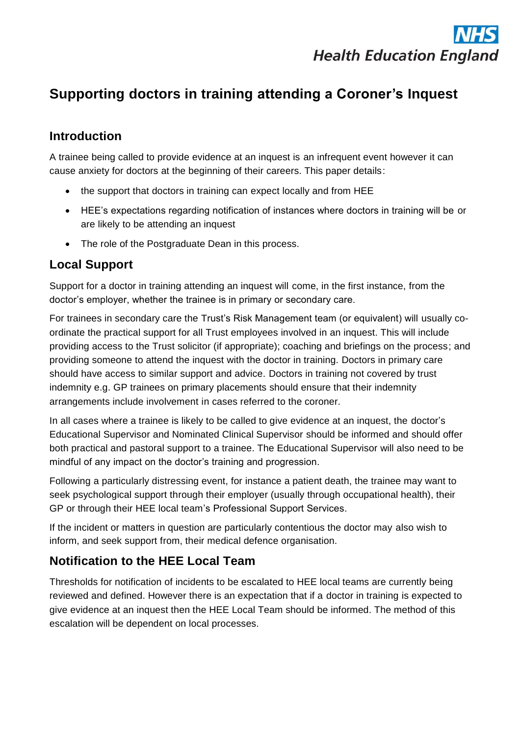

# **Supporting doctors in training attending a Coroner's Inquest**

### **Introduction**

A trainee being called to provide evidence at an inquest is an infrequent event however it can cause anxiety for doctors at the beginning of their careers. This paper details:

- the support that doctors in training can expect locally and from HEE
- HEE's expectations regarding notification of instances where doctors in training will be or are likely to be attending an inquest
- The role of the Postgraduate Dean in this process.

#### **Local Support**

Support for a doctor in training attending an inquest will come, in the first instance, from the doctor's employer, whether the trainee is in primary or secondary care.

For trainees in secondary care the Trust's Risk Management team (or equivalent) will usually coordinate the practical support for all Trust employees involved in an inquest. This will include providing access to the Trust solicitor (if appropriate); coaching and briefings on the process; and providing someone to attend the inquest with the doctor in training. Doctors in primary care should have access to similar support and advice. Doctors in training not covered by trust indemnity e.g. GP trainees on primary placements should ensure that their indemnity arrangements include involvement in cases referred to the coroner.

In all cases where a trainee is likely to be called to give evidence at an inquest, the doctor's Educational Supervisor and Nominated Clinical Supervisor should be informed and should offer both practical and pastoral support to a trainee. The Educational Supervisor will also need to be mindful of any impact on the doctor's training and progression.

Following a particularly distressing event, for instance a patient death, the trainee may want to seek psychological support through their employer (usually through occupational health), their GP or through their HEE local team's Professional Support Services.

If the incident or matters in question are particularly contentious the doctor may also wish to inform, and seek support from, their medical defence organisation.

#### **Notification to the HEE Local Team**

Thresholds for notification of incidents to be escalated to HEE local teams are currently being reviewed and defined. However there is an expectation that if a doctor in training is expected to give evidence at an inquest then the HEE Local Team should be informed. The method of this escalation will be dependent on local processes.